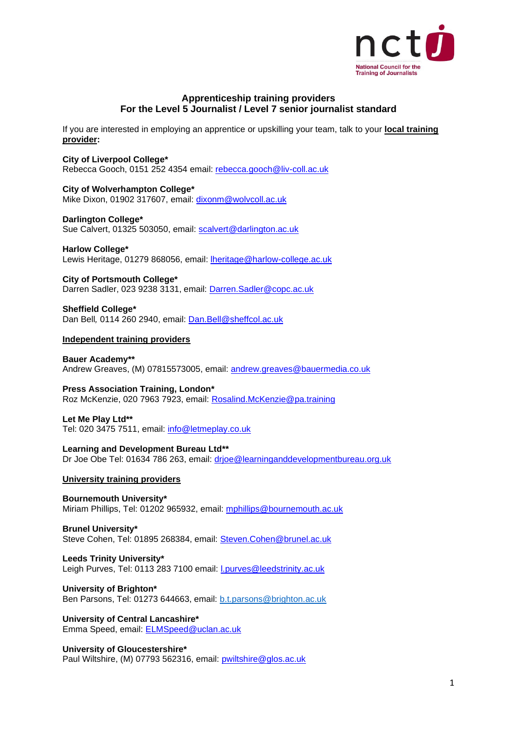

# **Apprenticeship training providers For the Level 5 Journalist / Level 7 senior journalist standard**

If you are interested in employing an apprentice or upskilling your team, talk to your **local training provider:**

## **City of Liverpool College\***

Rebecca Gooch, 0151 252 4354 email: [rebecca.gooch@liv-coll.ac.uk](mailto:rebecca.gooch@liv-coll.ac.uk)

### **City of Wolverhampton College\***

Mike Dixon, 01902 317607, email: [dixonm@wolvcoll.ac.uk](mailto:dixonm@wolvcoll.ac.uk)

#### **Darlington College\***

Sue Calvert, 01325 503050, email: [scalvert@darlington.ac.uk](mailto:scalvert@darlington.ac.uk)

**Harlow College\*** Lewis Heritage, 01279 868056, email: [lheritage@harlow-college.ac.uk](mailto:lheritage@harlow-college.ac.uk)

**City of Portsmouth College\*** Darren Sadler, 023 9238 3131, email: [Darren.Sadler@copc.ac.uk](mailto:Darren.Sadler@copc.ac.uk)

**Sheffield College\*** Dan Bell*,* 0114 260 2940, email: [Dan.Bell@sheffcol.ac.uk](mailto:Dan.Bell@sheffcol.ac.uk)

#### **Independent training providers**

**Bauer Academy\*\*** Andrew Greaves, (M) 07815573005, email: [andrew.greaves@bauermedia.co.uk](mailto:andrew.greaves@bauermedia.co.uk)

**Press Association Training, London\***  Roz McKenzie, 020 7963 7923, email: [Rosalind.McKenzie@pa.training](mailto:Rosalind.McKenzie@pa.training)

# **Let Me Play Ltd\*\***

Tel: 020 3475 7511, email: [info@letmeplay.co.uk](mailto:info@letmeplay.co.uk)

**Learning and Development Bureau Ltd\*\*** Dr Joe Obe Tel: 01634 786 263, email: [drjoe@learninganddevelopmentbureau.org.uk](mailto:drjoe@learninganddevelopmentbureau.org.uk)

### **University training providers**

**Bournemouth University\*** Miriam Phillips, Tel: 01202 965932, email: [mphillips@bournemouth.ac.uk](mailto:mphillips@bournemouth.ac.uk)

**Brunel University\*** Steve Cohen, Tel: 01895 268384, email: [Steven.Cohen@brunel.ac.uk](mailto:Steven.Cohen@brunel.ac.uk)

#### **Leeds Trinity University\***

Leigh Purves, Tel: 0113 283 7100 email: [l.purves@leedstrinity.ac.uk](mailto:l.purves@leedstrinity.ac.uk)

### **University of Brighton\***

Ben Parsons, Tel: 01273 644663, email: [b.t.parsons@brighton.ac.uk](mailto:b.t.parsons@brighton.ac.uk)

**University of Central Lancashire\*** Emma Speed, email: [ELMSpeed@uclan.ac.uk](mailto:ELMSpeed@uclan.ac.uk)

### **University of Gloucestershire\***

Paul Wiltshire, (M) 07793 562316, email: [pwiltshire@glos.ac.uk](mailto:pwiltshire@glos.ac.uk)